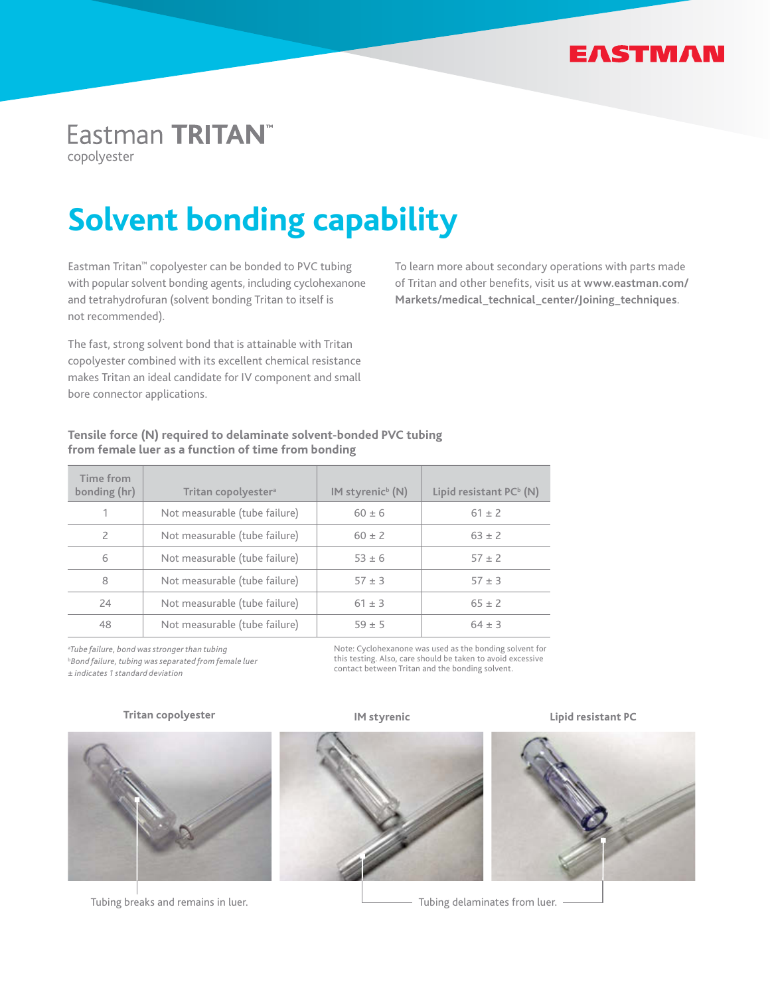

# Eastman TRITAN<sup>™</sup>

copolyester

# **Solvent bonding capability**

Eastman Tritan™ copolyester can be bonded to PVC tubing with popular solvent bonding agents, including cyclohexanone and tetrahydrofuran (solvent bonding Tritan to itself is not recommended).

The fast, strong solvent bond that is attainable with Tritan copolyester combined with its excellent chemical resistance makes Tritan an ideal candidate for IV component and small bore connector applications.

To learn more about secondary operations with parts made of Tritan and other benefits, visit us at **www.eastman.com/ Markets/medical\_technical\_center/Joining\_techniques**.

# **Tensile force (N) required to delaminate solvent-bonded PVC tubing from female luer as a function of time from bonding**

| Time from<br>bonding (hr) | Tritan copolyester <sup>a</sup> | $IM$ styrenic <sup>b</sup> $(N)$ | Lipid resistant PC <sup>b</sup> (N) |
|---------------------------|---------------------------------|----------------------------------|-------------------------------------|
|                           | Not measurable (tube failure)   | $60 \pm 6$                       | $61 \pm 2$                          |
|                           | Not measurable (tube failure)   | $60 + 2$                         | $63 \pm 2$                          |
| 6                         | Not measurable (tube failure)   | $53 + 6$                         | $57 \pm 2$                          |
| 8                         | Not measurable (tube failure)   | $57 \pm 3$                       | $57 \pm 3$                          |
| 24                        | Not measurable (tube failure)   | $61 \pm 3$                       | $65 + 2$                            |
| 48                        | Not measurable (tube failure)   | $59 + 5$                         | $64 + 3$                            |

a*Tube failure, bond was stronger than tubing*  b*Bond failure, tubing was separated from female luer ± indicates 1 standard deviation*

Note: Cyclohexanone was used as the bonding solvent for this testing. Also, care should be taken to avoid excessive contact between Tritan and the bonding solvent.

#### **Tritan copolyester**



Tubing breaks and remains in luer.





**IM styrenic Lipid resistant PC**



Tubing delaminates from luer.